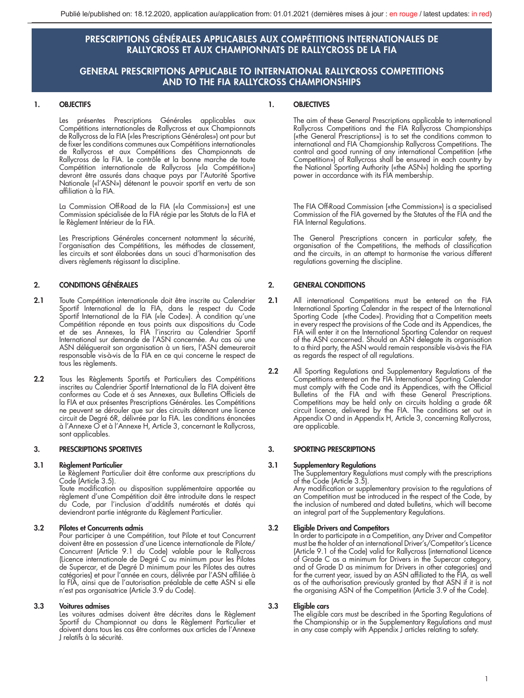# PRESCRIPTIONS GÉNÉRALES APPLICABLES AUX COMPÉTITIONS INTERNATIONALES DE RALLYCROSS ET AUX CHAMPIONNATS DE RALLYCROSS DE LA FIA

# GENERAL PRESCRIPTIONS APPLICABLE TO INTERNATIONAL RALLYCROSS COMPETITIONS AND TO THE FIA RALLYCROSS CHAMPIONSHIPS

# 1. OBJECTIFS

Les présentes Prescriptions Générales applicables aux Compétitions internationales de Rallycross et aux Championnats de Rallycross de la FIA («les Prescriptions Générales») ont pour but de fixer les conditions communes aux Compétitions internationales de Rallycross et aux Compétitions des Championnats de Rallycross de la FIA. Le contrôle et la bonne marche de toute Compétition internationale de Rallycross («la Compétition») devront être assurés dans chaque pays par l'Autorité Sportive Nationale («l'ASN») détenant le pouvoir sportif en vertu de son affiliation à la FIA.

La Commission Off-Road de la FIA («la Commission») est une Commission spécialisée de la FIA régie par les Statuts de la FIA et le Règlement Intérieur de la FIA.

Les Prescriptions Générales concernent notamment la sécurité, l'organisation des Compétitions, les méthodes de classement, les circuits et sont élaborées dans un souci d'harmonisation des divers règlements régissant la discipline.

# 2. CONDITIONS GÉNÉRALES

- 2.1 Toute Compétition internationale doit être inscrite au Calendrier Sportif International de la FIA, dans le respect du Code Sportif International de la FIA («le Code»). À condition qu'une Compétition réponde en tous points aux dispositions du Code et de ses Annexes, la FIA l'inscrira au Calendrier Sportif International sur demande de l'ASN concernée. Au cas où une ASN déléguerait son organisation à un tiers, l'ASN demeurerait responsable vis-à-vis de la FIA en ce qui concerne le respect de tous les règlements.
- 2.2 Tous les Règlements Sportifs et Particuliers des Compétitions inscrites au Calendrier Sportif International de la FIA doivent être conformes au Code et à ses Annexes, aux Bulletins Officiels de la FIA et aux présentes Prescriptions Générales. Les Compétitions ne peuvent se dérouler que sur des circuits détenant une licence circuit de Degré 6R, délivrée par la FIA. Les conditions énoncées à l'Annexe O et à l'Annexe H, Article 3, concernant le Rallycross, sont applicables.

### 3. PRESCRIPTIONS SPORTIVES

#### 3.1 Règlement Particulier

Le Règlement Particulier doit être conforme aux prescriptions du Code (Article 3.5).

Toute modification ou disposition supplémentaire apportée au règlement d'une Compétition doit être introduite dans le respect du Code, par l'inclusion d'additifs numérotés et datés qui deviendront partie intégrante du Règlement Particulier.

## 3.2 Pilotes et Concurrents admis

Pour participer à une Compétition, tout Pilote et tout Concurrent doivent être en possession d'une Licence internationale de Pilote/ Concurrent (Article 9.1 du Code) valable pour le Rallycross (Licence internationale de Degré C au minimum pour les Pilotes de Supercar, et de Degré D minimum pour les Pilotes des autres catégories) et pour l'année en cours, délivrée par l'ASN affiliée à la FIA, ainsi que de l'autorisation préalable de cette ASN si elle n'est pas organisatrice (Article 3.9 du Code).

#### 3.3 Voitures admises

Les voitures admises doivent être décrites dans le Règlement Sportif du Championnat ou dans le Règlement Particulier et doivent dans tous les cas être conformes aux articles de l'Annexe J relatifs à la sécurité.

### 1. OBJECTIVES

The aim of these General Prescriptions applicable to international Rallycross Competitions and the FIA Rallycross Championships («the General Prescriptions») is to set the conditions common to international and FIA Championship Rallycross Competitions. The control and good running of any international Competition («the Competition») of Rallycross shall be ensured in each country by the National Sporting Authority («the ASN») holding the sporting power in accordance with its FIA membership.

The FIA Off-Road Commission («the Commission») is a specialised Commission of the FIA governed by the Statutes of the FIA and the FIA Internal Regulations.

The General Prescriptions concern in particular safety, the organisation of the Competitions, the methods of classification and the circuits, in an attempt to harmonise the various different regulations governing the discipline.

# 2. GENERAL CONDITIONS

- 2.1 All international Competitions must be entered on the FIA International Sporting Calendar in the respect of the International Sporting Code («the Code»). Providing that a Competition meets in every respect the provisions of the Code and its Appendices, the FIA will enter it on the International Sporting Calendar on request of the ASN concerned. Should an ASN delegate its organisation to a third party, the ASN would remain responsible vis-à-vis the FIA as regards the respect of all regulations.
- 2.2 All Sporting Regulations and Supplementary Regulations of the Competitions entered on the FIA International Sporting Calendar must comply with the Code and its Appendices, with the Official Bulletins of the FIA and with these General Prescriptions. Competitions may be held only on circuits holding a grade 6R circuit licence, delivered by the FIA. The conditions set out in Appendix O and in Appendix H, Article 3, concerning Rallycross, are applicable.

#### 3. SPORTING PRESCRIPTIONS

**3.1 Supplementary Regulations**<br>The Supplementary Regulations must comply with the prescriptions<br>of the Code (Article 3.5).

Any modification or supplementary provision to the regulations of an Competition must be introduced in the respect of the Code, by the inclusion of numbered and dated bulletins, which will become an integral part of the Supplementary Regulations.

## 3.2 Eligible Drivers and Competitors

In order to participate in a Competition, any Driver and Competitor must be the holder of an international Driver's/Competitor's Licence (Article 9.1 of the Code) valid for Rallycross (international Licence of Grade C as a minimum for Drivers in the Supercar category, and of Grade D as minimum for Drivers in other categories) and for the current year, issued by an ASN affiliated to the FIA, as well as of the authorisation previously granted by that ASN if it is not the organising ASN of the Competition (Article 3.9 of the Code).

#### 3.3 Eligible cars

The eligible cars must be described in the Sporting Regulations of the Championship or in the Supplementary Regulations and must in any case comply with Appendix J articles relating to safety.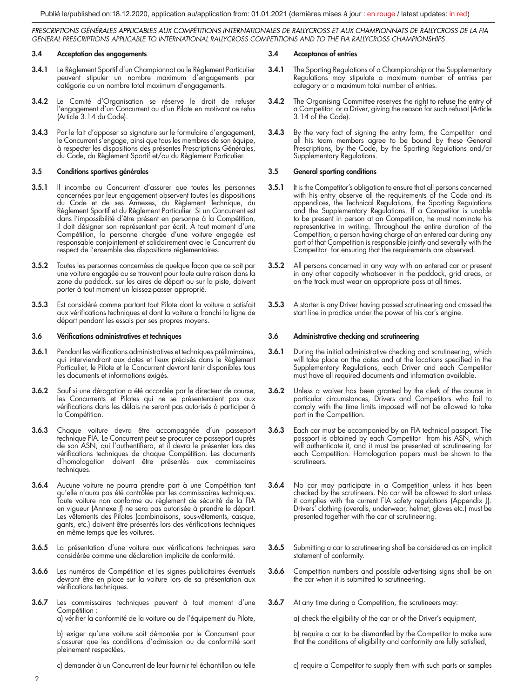#### 3.4 Acceptation des engagements

- 3.4.1 Le Règlement Sportif d'un Championnat ou le Règlement Particulier peuvent stipuler un nombre maximum d'engagements par catégorie ou un nombre total maximum d'engagements.
- 3.4.2 Le Comité d'Organisation se réserve le droit de refuser l'engagement d'un Concurrent ou d'un Pilote en motivant ce refus (Article 3.14 du Code).
- 3.4.3 Par le fait d'apposer sa signature sur le formulaire d'engagement, le Concurrent s'engage, ainsi que tous les membres de son équipe, à respecter les dispositions des présentes Prescriptions Générales, du Code, du Règlement Sportif et/ou du Règlement Particulier.

#### 3.5 Conditions sportives générales

- 3.5.1 Il incombe au Concurrent d'assurer que toutes les personnes concernées par leur engagement observent toutes les dispositions du Code et de ses Annexes, du Règlement Technique, du Règlement Sportif et du Règlement Particulier. Si un Concurrent est dans l'impossibilité d'être présent en personne à la Compétition, il doit désigner son représentant par écrit. À tout moment d'une Compétition, la personne chargée d'une voiture engagée est responsable conjointement et solidairement avec le Concurrent du respect de l'ensemble des dispositions réglementaires.
- 3.5.2 Toutes les personnes concernées de quelque façon que ce soit par une voiture engagée ou se trouvant pour toute autre raison dans la zone du paddock, sur les aires de départ ou sur la piste, doivent porter à tout moment un laissez-passer approprié.
- 3.5.3 Est considéré comme partant tout Pilote dont la voiture a satisfait aux vérifications techniques et dont la voiture a franchi la ligne de départ pendant les essais par ses propres moyens.

#### 3.6 Vérifications administratives et techniques

- 3.6.1 Pendant les vérifications administratives et techniques préliminaires, qui interviendront aux dates et lieux précisés dans le Règlement Particulier, le Pilote et le Concurrent devront tenir disponibles tous les documents et informations exigés.
- 3.6.2 Sauf si une dérogation a été accordée par le directeur de course, les Concurrents et Pilotes qui ne se présenteraient pas aux vérifications dans les délais ne seront pas autorisés à participer à la Compétition.
- 3.6.3 Chaque voiture devra être accompagnée d'un passeport technique FIA. Le Concurrent peut se procurer ce passeport auprès de son ASN, qui l'authentifiera, et il devra le présenter lors des vérifications techniques de chaque Compétition. Les documents d'homologation doivent être présentés aux commissaires techniques.
- 3.6.4 Aucune voiture ne pourra prendre part à une Compétition tant qu'elle n'aura pas été contrôlée par les commissaires techniques. Toute voiture non conforme au règlement de sécurité de la FIA en vigueur (Annexe J) ne sera pas autorisée à prendre le départ. Les vêtements des Pilotes (combinaisons, sous-vêtements, casque, gants, etc.) doivent être présentés lors des vérifications techniques en même temps que les voitures.
- 3.6.5 La présentation d'une voiture aux vérifications techniques sera considérée comme une déclaration implicite de conformité.
- 3.6.6 Les numéros de Compétition et les signes publicitaires éventuels devront être en place sur la voiture lors de sa présentation aux vérifications techniques.
- 3.6.7 Les commissaires techniques peuvent à tout moment d'une Compétition : a) vérifier la conformité de la voiture ou de l'équipement du Pilote,

b) exiger qu'une voiture soit démontée par le Concurrent pour s'assurer que les conditions d'admission ou de conformité sont

c) demander à un Concurrent de leur fournir tel échantillon ou telle

#### 3.4 Acceptance of entries

- 3.4.1 The Sporting Regulations of a Championship or the Supplementary Regulations may stipulate a maximum number of entries per category or a maximum total number of entries.
- 3.4.2 The Organising Committee reserves the right to refuse the entry of a Competitor or a Driver, giving the reason for such refusal (Article 3.14 of the Code).
- 3.4.3 By the very fact of signing the entry form, the Competitor and all his team members agree to be bound by these General Prescriptions, by the Code, by the Sporting Regulations and/or Supplementary Regulations.

#### 3.5 General sporting conditions

- 3.5.1 It is the Competitor's obligation to ensure that all persons concerned with his entry observe all the requirements of the Code and its appendices, the Technical Regulations, the Sporting Regulations and the Supplementary Regulations. If a Competitor is unable to be present in person at an Competition, he must nominate his representative in writing. Throughout the entire duration of the Competition, a person having charge of an entered car during any part of that Competition is responsible jointly and severally with the Competitor for ensuring that the requirements are observed.
- 3.5.2 All persons concerned in any way with an entered car or present in any other capacity whatsoever in the paddock, grid areas, or on the track must wear an appropriate pass at all times.
- 3.5.3 A starter is any Driver having passed scrutineering and crossed the start line in practice under the power of his car's engine.

#### 3.6 Administrative checking and scrutineering

- 3.6.1 During the initial administrative checking and scrutineering, which will take place on the dates and at the locations specified in the Supplementary Regulations, each Driver and each Competitor must have all required documents and information available.
- 3.6.2 Unless a waiver has been granted by the clerk of the course in particular circumstances, Drivers and Competitors who fail to comply with the time limits imposed will not be allowed to take part in the Competition.
- 3.6.3 Each car must be accompanied by an FIA technical passport. The passport is obtained by each Competitor from his ASN, which will authenticate it, and it must be presented at scrutineering for each Competition. Homologation papers must be shown to the scrutineers.
- 3.6.4 No car may participate in a Competition unless it has been checked by the scrutineers. No car will be allowed to start unless it complies with the current FIA safety regulations (Appendix J). Drivers' clothing (overalls, underwear, helmet, gloves etc.) must be presented together with the car at scrutineering.
- 3.6.5 Submitting a car to scrutineering shall be considered as an implicit statement of conformity.
- 3.6.6 Competition numbers and possible advertising signs shall be on the car when it is submitted to scrutineering.
- 3.6.7 At any time during a Competition, the scrutineers may:

a) check the eligibility of the car or of the Driver's equipment,

b) require a car to be dismantled by the Competitor to make sure that the conditions of eligibility and conformity are fully satisfied,

c) require a Competitor to supply them with such parts or samples

pleinement respectées,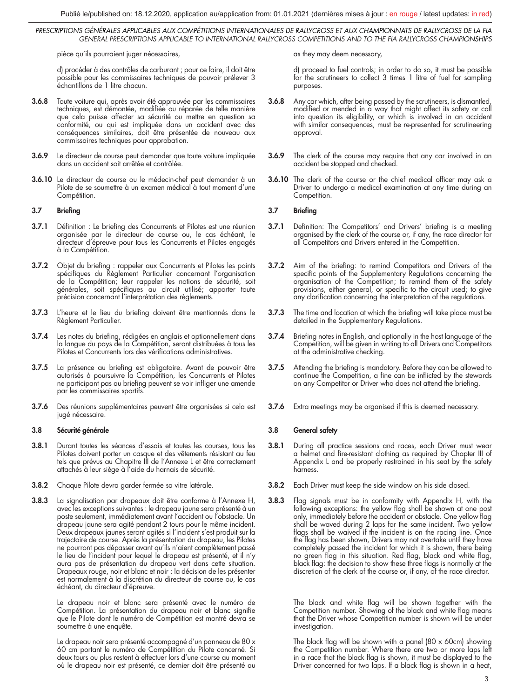pièce qu'ils pourraient juger nécessaires,

d) procéder à des contrôles de carburant ; pour ce faire, il doit être possible pour les commissaires techniques de pouvoir prélever 3 échantillons de 1 litre chacun.

- 3.6.8 Toute voiture qui, après avoir été approuvée par les commissaires techniques, est démontée, modifiée ou réparée de telle manière que cela puisse affecter sa sécurité ou mettre en question sa conformité, ou qui est impliquée dans un accident avec des conséquences similaires, doit être présentée de nouveau aux commissaires techniques pour approbation.
- 3.6.9 Le directeur de course peut demander que toute voiture impliquée dans un accident soit arrêtée et contrôlée.
- 3.6.10 Le directeur de course ou le médecin-chef peut demander à un Pilote de se soumettre à un examen médical à tout moment d'une Compétition.

# 3.7 Briefing

- 3.7.1 Définition : Le briefing des Concurrents et Pilotes est une réunion organisée par le directeur de course ou, le cas échéant, le directeur d'épreuve pour tous les Concurrents et Pilotes engagés à la Compétition.
- 3.7.2 Objet du briefing : rappeler aux Concurrents et Pilotes les points spécifiques du Règlement Particulier concernant l'organisation de la Compétition; leur rappeler les notions de sécurité, soit générales, soit spécifiques au circuit utilisé; apporter toute précision concernant l'interprétation des règlements.
- 3.7.3 L'heure et le lieu du briefing doivent être mentionnés dans le Règlement Particulier.
- 3.7.4 Les notes du briefing, rédigées en anglais et optionnellement dans la langue du pays de la Compétition, seront distribuées à tous les Pilotes et Concurrents lors des vérifications administratives.
- 3.7.5 La présence au briefing est obligatoire. Avant de pouvoir être autorisés à poursuivre la Compétition, les Concurrents et Pilotes ne participant pas au briefing peuvent se voir infliger une amende par les commissaires sportifs.
- 3.7.6 Des réunions supplémentaires peuvent être organisées si cela est jugé nécessaire.

## 3.8 Sécurité générale

- 3.8.1 Durant toutes les séances d'essais et toutes les courses, tous les Pilotes doivent porter un casque et des vêtements résistant au feu tels que prévus au Chapitre III de l'Annexe L et être correctement attachés à leur siège à l'aide du harnais de sécurité.
- 3.8.2 Chaque Pilote devra garder fermée sa vitre latérale.
- 3.8.3 La signalisation par drapeaux doit être conforme à l'Annexe H, avec les exceptions suivantes : le drapeau jaune sera présenté à un poste seulement, immédiatement avant l'accident ou l'obstacle. Un drapeau jaune sera agité pendant 2 tours pour le même incident. Deux drapeaux jaunes seront agités si l'incident s'est produit sur la trajectoire de course. Après la présentation du drapeau, les Pilotes ne pourront pas dépasser avant qu'ils n'aient complètement passé le lieu de l'incident pour lequel le drapeau est présenté, et il n'y aura pas de présentation du drapeau vert dans cette situation. Drapeaux rouge, noir et blanc et noir : la décision de les présenter est normalement à la discrétion du directeur de course ou, le cas échéant, du directeur d'épreuve.

Le drapeau noir et blanc sera présenté avec le numéro de Compétition. La présentation du drapeau noir et blanc signifie que le Pilote dont le numéro de Compétition est montré devra se soumettre à une enquête.

Le drapeau noir sera présenté accompagné d'un panneau de 80 x 60 cm portant le numéro de Compétition du Pilote concerné. Si deux tours ou plus restent à effectuer lors d'une course au moment où le drapeau noir est présenté, ce dernier doit être présenté au

as they may deem necessary,

d) proceed to fuel controls; in order to do so, it must be possible for the scrutineers to collect 3 times 1 litre of fuel for sampling purposes.

- 3.6.8 Any car which, after being passed by the scrutineers, is dismantled, modified or mended in a way that might affect its safety or call into question its eligibility, or which is involved in an accident with similar consequences, must be re-presented for scrutineering approval.
- 3.6.9 The clerk of the course may require that any car involved in an accident be stopped and checked.
- 3.6.10 The clerk of the course or the chief medical officer may ask a Driver to undergo a medical examination at any time during an Competition.

### 3.7 Briefing

- 3.7.1 Definition: The Competitors' and Drivers' briefing is a meeting organised by the clerk of the course or, if any, the race director for all Competitors and Drivers entered in the Competition.
- 3.7.2 Aim of the briefing: to remind Competitors and Drivers of the specific points of the Supplementary Regulations concerning the organisation of the Competition; to remind them of the safety provisions, either general, or specific to the circuit used; to give any clarification concerning the interpretation of the regulations.
- 3.7.3 The time and location at which the briefing will take place must be detailed in the Supplementary Regulations.
- 3.7.4 Briefing notes in English, and optionally in the host language of the Competition, will be given in writing to all Drivers and Competitors at the administrative checking.
- 3.7.5 Attending the briefing is mandatory. Before they can be allowed to continue the Competition, a fine can be inflicted by the stewards on any Competitor or Driver who does not attend the briefing.
- 3.7.6 Extra meetings may be organised if this is deemed necessary.

#### 3.8 General safety

- 3.8.1 During all practice sessions and races, each Driver must wear a helmet and fire-resistant clothing as required by Chapter III of Appendix L and be properly restrained in his seat by the safety harness.
- 3.8.2 Each Driver must keep the side window on his side closed.
- 3.8.3 Flag signals must be in conformity with Appendix H, with the following exceptions: the yellow flag shall be shown at one post only, immediately before the accident or obstacle. One yellow flag shall be waved during 2 laps for the same incident. Two yellow flags shall be waived if the incident is on the racing line. Once the flag has been shown, Drivers may not overtake until they have completely passed the incident for which it is shown, there being no green flag in this situation. Red flag, black and white flag, black flag: the decision to show these three flags is normally at the discretion of the clerk of the course or, if any, of the race director.

The black and white flag will be shown together with the Competition number. Showing of the black and white flag means that the Driver whose Competition number is shown will be under investigation.

The black flag will be shown with a panel  $(80 \times 60 \text{cm})$  showing the Competition number. Where there are two or more laps left in a race that the black flag is shown, it must be displayed to the Driver concerned for two laps. If a black flag is shown in a heat,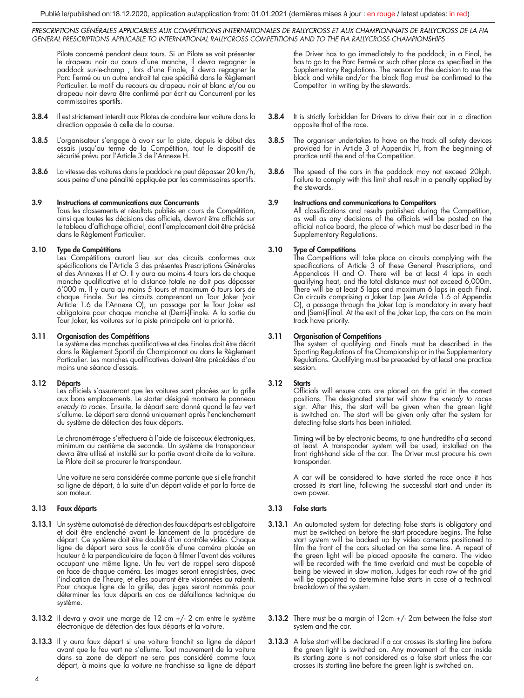Pilote concerné pendant deux tours. Si un Pilote se voit présenter le drapeau noir au cours d'une manche, il devra regagner le paddock sur-le-champ ; lors d'une Finale, il devra regagner le Parc Fermé ou un autre endroit tel que spécifié dans le Règlement Particulier. Le motif du recours au drapeau noir et blanc et/ou au drapeau noir devra être confirmé par écrit au Concurrent par les commissaires sportifs.

- 3.8.4 Il est strictement interdit aux Pilotes de conduire leur voiture dans la direction opposée à celle de la course.
- 3.8.5 L'organisateur s'engage à avoir sur la piste, depuis le début des essais jusqu'au terme de la Compétition, tout le dispositif de sécurité prévu par l'Article 3 de l'Annexe H.
- 3.8.6 La vitesse des voitures dans le paddock ne peut dépasser 20 km/h, sous peine d'une pénalité appliquée par les commissaires sportifs.

## 3.9 Instructions et communications aux Concurrents

Tous les classements et résultats publiés en cours de Compétition, ainsi que toutes les décisions des officiels, devront être affichés sur le tableau d'affichage officiel, dont l'emplacement doit être précisé dans le Règlement Particulier.

## 3.10 Type de Compétitions

Les Compétitions auront lieu sur des circuits conformes aux spécifications de l'Article 3 des présentes Prescriptions Générales et des Annexes H et O. Il y aura au moins 4 tours lors de chaque manche qualificative et la distance totale ne doit pas dépasser 6'000 m. Il y aura au moins 5 tours et maximum 6 tours lors de chaque Finale. Sur les circuits comprenant un Tour Joker (voir Article 1.6 de l'Annexe O), un passage par le Tour Joker est obligatoire pour chaque manche et (Demi-)Finale. A la sortie du Tour Joker, les voitures sur la piste principale ont la priorité.

#### 3.11 Organisation des Compétitions

Le système des manches qualificatives et des Finales doit être décrit dans le Règlement Sportif du Championnat ou dans le Règlement Particulier. Les manches qualificatives doivent être précédées d'au moins une séance d'essais.

## 3.12 Départs

Les officiels s'assureront que les voitures sont placées sur la grille aux bons emplacements. Le starter désigné montrera le panneau «*ready to race*». Ensuite, le départ sera donné quand le feu vert s'allume. Le départ sera donné uniquement après l'enclenchement du système de détection des faux départs.

Le chronométrage s'effectuera à l'aide de faisceaux électroniques, minimum au centième de seconde. Un système de transpondeur devra être utilisé et installé sur la partie avant droite de la voiture. Le Pilote doit se procurer le transpondeur.

Une voiture ne sera considérée comme partante que si elle franchit sa ligne de départ, à la suite d'un départ valide et par la force de son moteur.

## 3.13 Faux départs

- 3.13.1 Un système automatisé de détection des faux départs est obligatoire et doit être enclenché avant le lancement de la procédure de départ. Ce système doit être doublé d'un contrôle vidéo. Chaque ligne de départ sera sous le contrôle d'une caméra placée en hauteur à la perpendiculaire de façon à filmer l'avant des voitures occupant une même ligne. Un feu vert de rappel sera disposé en face de chaque caméra. Les images seront enregistrées, avec l'indication de l'heure, et elles pourront être visionnées au ralenti. Pour chaque ligne de la grille, des juges seront nommés pour déterminer les faux départs en cas de défaillance technique du système.
- 3.13.2 Il devra y avoir une marge de 12 cm +/- 2 cm entre le système électronique de détection des faux départs et la voiture.
- 3.13.3 Il y aura faux départ si une voiture franchit sa ligne de départ avant que le feu vert ne s'allume. Tout mouvement de la voiture dans sa zone de départ ne sera pas considéré comme faux départ, à moins que la voiture ne franchisse sa ligne de départ

the Driver has to go immediately to the paddock; in a Final, he has to go to the Parc Fermé or such other place as specified in the Supplementary Regulations. The reason for the decision to use the black and white and/or the black flag must be confirmed to the Competitor in writing by the stewards.

- 3.8.4 It is strictly forbidden for Drivers to drive their car in a direction opposite that of the race.
- 3.8.5 The organiser undertakes to have on the track all safety devices provided for in Article 3 of Appendix H, from the beginning of practice until the end of the Competition.
- **3.8.6** The speed of the cars in the paddock may not exceed 20kph. Failure to comply with this limit shall result in a penalty applied by the stewards.

3.9 Instructions and communications to Competitors All classifications and results published during the Competition, as well as any decisions of the officials will be posted on the official notice board, the place of which must be described in the Supplementary Regulations.

**3.10 Type of Competitions**<br>The Competitions will take place on circuits complying with the specifications of Article 3 of these General Prescriptions, and Appendices H and O. There will be at least 4 laps in each qualifying heat, and the total distance must not exceed 6,000m. There will be at least 5 laps and maximum 6 laps in each Final. On circuits comprising a Joker Lap (see Article 1.6 of Appendix O), a passage through the Joker Lap is mandatory in every heat and (Semi-)Final. At the exit of the Joker Lap, the cars on the main track have priority.

**3.11 Organisation of Competitions**<br>The system of qualifying and Finals must be described in the Sporting Regulations of the Championship or in the Supplementary Regulations. Qualifying must be preceded by at least one practice session.

## 3.12 Starts

Officials will ensure cars are placed on the grid in the correct positions. The designated starter will show the «*ready to race*» sign. After this, the start will be given when the green light is switched on. The start will be given only after the system for detecting false starts has been initiated.

Timing will be by electronic beams, to one hundredths of a second at least. A transponder system will be used, installed on the front right-hand side of the car. The Driver must procure his own transponder.

A car will be considered to have started the race once it has crossed its start line, following the successful start and under its own power.

## 3.13 False starts

- 3.13.1 An automated system for detecting false starts is obligatory and must be switched on before the start procedure begins. The false start system will be backed up by video cameras positioned to film the front of the cars situated on the same line. A repeat of the green light will be placed opposite the camera. The video will be recorded with the time overlaid and must be capable of being be viewed in slow motion. Judges for each row of the grid will be appointed to determine false starts in case of a technical breakdown of the system.
- 3.13.2 There must be a margin of 12cm +/- 2cm between the false start system and the car.
- 3.13.3 A false start will be declared if a car crosses its starting line before the green light is switched on. Any movement of the car inside its starting zone is not considered as a false start unless the car crosses its starting line before the green light is switched on.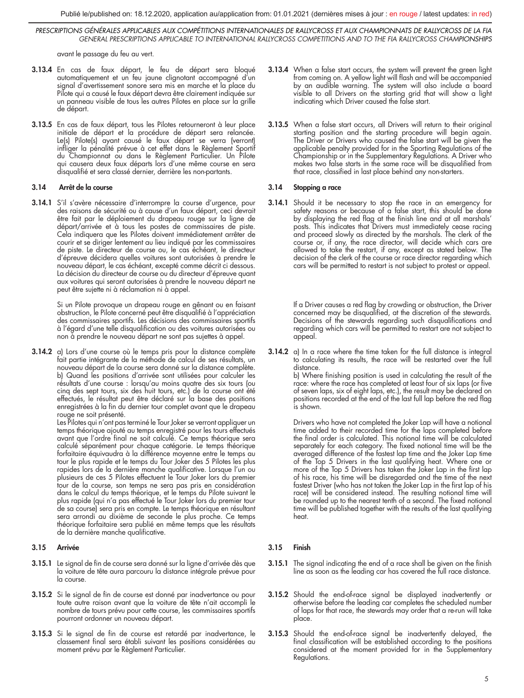avant le passage du feu au vert.

- 3.13.4 En cas de faux départ, le feu de départ sera bloqué automatiquement et un feu jaune clignotant accompagné d'un signal d'avertissement sonore sera mis en marche et la place du Pilote qui a causé le faux départ devra être clairement indiquée sur un panneau visible de tous les autres Pilotes en place sur la grille de départ.
- 3.13.5 En cas de faux départ, tous les Pilotes retourneront à leur place initiale de départ et la procédure de départ sera relancée. Le(s) Pilote(s) ayant causé le faux départ se verra (verront) infliger la pénalité prévue à cet effet dans le Règlement Sportif du Championnat ou dans le Règlement Particulier. Un Pilote qui causera deux faux départs lors d'une même course en sera disqualifié et sera classé dernier, derrière les non-partants.

## 3.14 Arrêt de la course

3.14.1 S'il s'avère nécessaire d'interrompre la course d'urgence, pour des raisons de sécurité ou à cause d'un faux départ, ceci devrait être fait par le déploiement du drapeau rouge sur la ligne de départ/arrivée et à tous les postes de commissaires de piste. Cela indiquera que les Pilotes doivent immédiatement arrêter de courir et se diriger lentement au lieu indiqué par les commissaires de piste. Le directeur de course ou, le cas échéant, le directeur d'épreuve décidera quelles voitures sont autorisées à prendre le nouveau départ, le cas échéant, excepté comme décrit ci dessous. La décision du directeur de course ou du directeur d'épreuve quant aux voitures qui seront autorisées à prendre le nouveau départ ne peut être sujette ni à réclamation ni à appel.

> Si un Pilote provoque un drapeau rouge en gênant ou en faisant obstruction, le Pilote concerné peut être disqualifié à l'appréciation des commissaires sportifs. Les décisions des commissaires sportifs à l'égard d'une telle disqualification ou des voitures autorisées ou non à prendre le nouveau départ ne sont pas sujettes à appel.

3.14.2 a) Lors d'une course où le temps pris pour la distance complète fait partie intégrante de la méthode de calcul de ses résultats, un nouveau départ de la course sera donné sur la distance complète. b) Quand les positions d'arrivée sont utilisées pour calculer les résultats d'une course : lorsqu'au moins quatre des six tours (ou cinq des sept tours, six des huit tours, etc.) de la course ont été effectués, le résultat peut être déclaré sur la base des positions enregistrées à la fin du dernier tour complet avant que le drapeau rouge ne soit présenté.

Les Pilotes qui n'ont pas terminé le Tour Joker se verront appliquer un temps théorique ajouté au temps enregistré pour les tours effectués avant que l'ordre final ne soit calculé. Ce temps théorique sera calculé séparément pour chaque catégorie. Le temps théorique forfaitaire équivaudra à la différence moyenne entre le temps au tour le plus rapide et le temps du Tour Joker des 5 Pilotes les plus rapides lors de la dernière manche qualificative. Lorsque l'un ou plusieurs de ces 5 Pilotes effectuent le Tour Joker lors du premier tour de la course, son temps ne sera pas pris en considération dans le calcul du temps théorique, et le temps du Pilote suivant le plus rapide (qui n'a pas effectué le Tour Joker lors du premier tour de sa course) sera pris en compte. Le temps théorique en résultant sera arrondi au dixième de seconde le plus proche. Ce temps théorique forfaitaire sera publié en même temps que les résultats de la dernière manche qualificative.

### 3.15 Arrivée

- 3.15.1 Le signal de fin de course sera donné sur la ligne d'arrivée dès que la voiture de tête aura parcouru la distance intégrale prévue pour la course.
- 3.15.2 Si le signal de fin de course est donné par inadvertance ou pour toute autre raison avant que la voiture de tête n'ait accompli le nombre de tours prévu pour cette course, les commissaires sportifs pourront ordonner un nouveau départ.
- 3.15.3 Si le signal de fin de course est retardé par inadvertance, le classement final sera établi suivant les positions considérées au moment prévu par le Règlement Particulier.
- 3.13.4 When a false start occurs, the system will prevent the green light from coming on. A yellow light will flash and will be accompanied by an audible warning. The system will also include a board visible to all Drivers on the starting grid that will show a light indicating which Driver caused the false start.
- 3.13.5 When a false start occurs, all Drivers will return to their original starting position and the starting procedure will begin again. The Driver or Drivers who caused the false start will be given the applicable penalty provided for in the Sporting Regulations of the Championship or in the Supplementary Regulations. A Driver who makes two false starts in the same race will be disqualified from that race, classified in last place behind any non-starters.

#### 3.14 Stopping a race

3.14.1 Should it be necessary to stop the race in an emergency for safety reasons or because of a false start, this should be done by displaying the red flag at the finish line and at all marshals' posts. This indicates that Drivers must immediately cease racing and proceed slowly as directed by the marshals. The clerk of the course or, if any, the race director, will decide which cars are allowed to take the restart, if any, except as stated below. The decision of the clerk of the course or race director regarding which cars will be permitted to restart is not subject to protest or appeal.

> If a Driver causes a red flag by crowding or obstruction, the Driver concerned may be disqualified, at the discretion of the stewards. Decisions of the stewards regarding such disqualifications and regarding which cars will be permitted to restart are not subject to appeal.

3.14.2 a) In a race where the time taken for the full distance is integral to calculating its results, the race will be restarted over the full distance.

b) Where finishing position is used in calculating the result of the race: where the race has completed at least four of six laps (or five of seven laps, six of eight laps, etc.), the result may be declared on positions recorded at the end of the last full lap before the red flag is shown.

Drivers who have not completed the Joker Lap will have a notional time added to their recorded time for the laps completed before the final order is calculated. This notional time will be calculated separately for each category. The fixed notional time will be the averaged difference of the fastest lap time and the Joker Lap time of the Top 5 Drivers in the last qualifying heat. Where one or more of the Top 5 Drivers has taken the Joker Lap in the first lap of his race, his time will be disregarded and the time of the next fastest Driver (who has not taken the Joker Lap in the first lap of his race) will be considered instead. The resulting notional time will be rounded up to the nearest tenth of a second. The fixed notional time will be published together with the results of the last qualifying heat.

# 3.15 Finish

- 3.15.1 The signal indicating the end of a race shall be given on the finish line as soon as the leading car has covered the full race distance.
- 3.15.2 Should the end-of-race signal be displayed inadvertently or otherwise before the leading car completes the scheduled number of laps for that race, the stewards may order that a re-run will take place.
- 3.15.3 Should the end-of-race signal be inadvertently delayed, the final classification will be established according to the positions considered at the moment provided for in the Supplementary Regulations.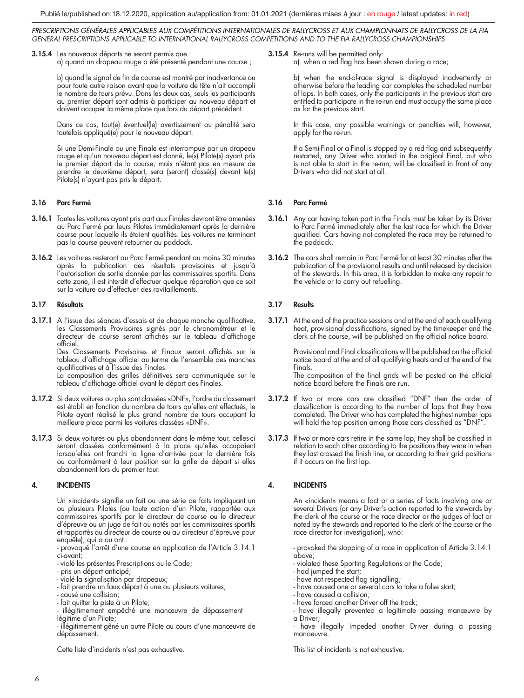3.15.4 Les nouveaux départs ne seront permis que : a) quand un drapeau rouge a été présenté pendant une course ;

> b) quand le signal de fin de course est montré par inadvertance ou pour toute autre raison avant que la voiture de tête n'ait accompli le nombre de tours prévu. Dans les deux cas, seuls les participants au premier départ sont admis à participer au nouveau départ et doivent occuper la même place que lors du départ précédent.

> Dans ce cas, tout(e) éventuel(le) avertissement ou pénalité sera toutefois appliqué(e) pour le nouveau départ.

> Si une Demi-Finale ou une Finale est interrompue par un drapeau rouge et qu'un nouveau départ est donné, le(s) Pilote(s) ayant pris le premier départ de la course, mais n'étant pas en mesure de prendre le deuxième départ, sera (seront) classé(s) devant le(s) Pilote(s) n'ayant pas pris le départ.

# 3.16 Parc Fermé

- **3.16.1** Toutes les voitures ayant pris part aux Finales devront être amenées<br>au Parc Fermé par leurs Pilotes immédiatement après la dernière<br>course pour laquelle ils étaient qualifiés. Les voitures ne terminant pas la course peuvent retourner au paddock.
- 3.16.2 Les voitures resteront au Parc Fermé pendant au moins 30 minutes après la publication des résultats provisoires et jusqu'à l'autorisation de sortie donnée par les commissaires sportifs. Dans cette zone, il est interdit d'effectuer quelque réparation que ce soit sur la voiture ou d'effectuer des ravitaillements.

## 3.17 Résultats

3.17.1 A l'issue des séances d'essais et de chaque manche qualificative, les Classements Provisoires signés par le chronométreur et le directeur de course seront affichés sur le tableau d'affichage officiel.

Des Classements Provisoires et Finaux seront affichés sur le tableau d'affichage officiel au terme de l'ensemble des manches qualificatives et à l'issue des Finales.

La composition des grilles définitives sera communiquée sur le tableau d'affichage officiel avant le départ des Finales.

- 3.17.2 Si deux voitures ou plus sont classées «DNF», l'ordre du classement est établi en fonction du nombre de tours qu'elles ont effectués, le Pilote ayant réalisé le plus grand nombre de tours occupant la meilleure place parmi les voitures classées «DNF».
- 3.17.3 Si deux voitures ou plus abandonnent dans le même tour, celles-ci seront classées conformément à la place qu'elles occupaient lorsqu'elles ont franchi la ligne d'arrivée pour la dernière fois ou conformément à leur position sur la grille de départ si elles abandonnent lors du premier tour.

## 4. INCIDENTS

Un «incident» signifie un fait ou une série de faits impliquant un ou plusieurs Pilotes (ou toute action d'un Pilote, rapportée aux commissaires sportifs par le directeur de course ou le directeur d'épreuve ou un juge de fait ou notés par les commissaires sportifs et rapportés au directeur de course ou au directeur d'épreuve pour enquête), qui a ou ont :

- provoqué l'arrêt d'une course en application de l'Article 3.14.1 ci-avant;

- violé les présentes Prescriptions ou le Code;
- pris un départ anticipé;
- violé la signalisation par drapeaux;
- fait prendre un faux départ à une ou plusieurs voitures;
- causé une collision;
- fait quitter la piste à un Pilote;
- illégitimement empêché une manœuvre de dépassement légitime d'un Pilote;

- illégitimement gêné un autre Pilote au cours d'une manœuvre de dépassement.

Cette liste d'incidents n'est pas exhaustive.

3.15.4 Re-runs will be permitted only:

a) when a red flag has been shown during a race;

b) when the end-of-race signal is displayed inadvertently or otherwise before the leading car completes the scheduled number of laps. In both cases, only the participants in the previous start are entitled to participate in the re-run and must occupy the same place as for the previous start.

In this case, any possible warnings or penalties will, however, apply for the re-run.

If a Semi-Final or a Final is stopped by a red flag and subsequently restarted, any Driver who started in the original Final, but who is not able to start in the re-run, will be classified in front of any Drivers who did not start at all.

## 3.16 Parc Fermé

- 3.16.1 Any car having taken part in the Finals must be taken by its Driver to Parc Fermé immediately after the last race for which the Driver qualified. Cars having not completed the race may be returned to the paddock.
- 3.16.2 The cars shall remain in Parc Fermé for at least 30 minutes after the publication of the provisional results and until released by decision of the stewards. In this area, it is forbidden to make any repair to the vehicle or to carry out refuelling.

## 3.17 Results

3.17.1 At the end of the practice sessions and at the end of each qualifying heat, provisional classifications, signed by the timekeeper and the clerk of the course, will be published on the official notice board.

> Provisional and Final classifications will be published on the official notice board at the end of all qualifying heats and at the end of the Finals.

> The composition of the final grids will be posted on the official notice board before the Finals are run.

- 3.17.2 If two or more cars are classified "DNF" then the order of classification is according to the number of laps that they have completed. The Driver who has completed the highest number laps will hold the top position among those cars classified as "DNF".
- 3.17.3 If two or more cars retire in the same lap, they shall be classified in relation to each other according to the positions they were in when they last crossed the finish line, or according to their grid positions if it occurs on the first lap.

# 4. INCIDENTS

An «incident» means a fact or a series of facts involving one or several Drivers (or any Driver's action reported to the stewards by the clerk of the course or the race director or the judges of fact or noted by the stewards and reported to the clerk of the course or the race director for investigation), who:

- provoked the stopping of a race in application of Article 3.14.1 above;

- violated these Sporting Regulations or the Code; had jumped the start;
- 
- have not respected flag signalling;
- have caused one or several cars to take a false start;
- have caused a collision;
- have forced another Driver off the track;
- have illegally prevented a legitimate passing manœuvre by a Driver; - have illegally impeded another Driver during a passing

manoeuvre.

This list of incidents is not exhaustive.